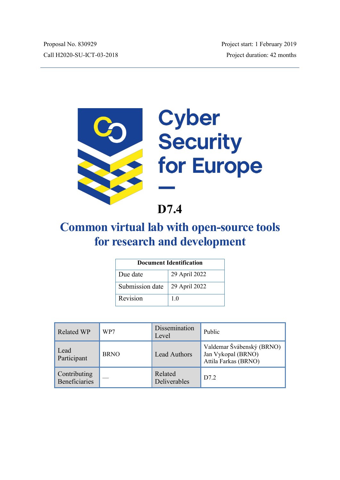

# Cyber<br>Security for Europe

**D7.4**

# **Common virtual lab with open-source tools for research and development**

| Document Identification |                |  |  |
|-------------------------|----------------|--|--|
| Due date                | 29 April 2022  |  |  |
| Submission date         | 29 April 2022  |  |  |
| Revision                | 1 <sub>0</sub> |  |  |

| <b>Related WP</b>             | WP7         | Dissemination<br>Level  | Public                                                                  |
|-------------------------------|-------------|-------------------------|-------------------------------------------------------------------------|
| Lead<br>Participant           | <b>BRNO</b> | <b>Lead Authors</b>     | Valdemar Švábenský (BRNO)<br>Jan Vykopal (BRNO)<br>Attila Farkas (BRNO) |
| Contributing<br>Beneficiaries |             | Related<br>Deliverables | D7.2                                                                    |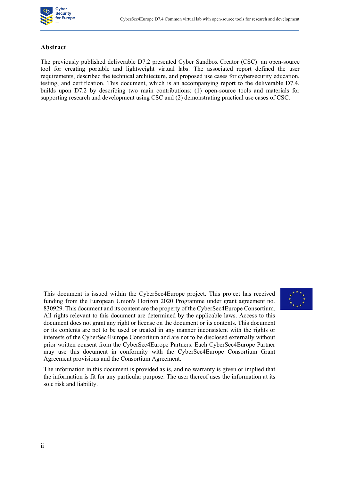

#### **Abstract**

The previously published deliverable D7.2 presented Cyber Sandbox Creator (CSC): an open-source tool for creating portable and lightweight virtual labs. The associated report defined the user requirements, described the technical architecture, and proposed use cases for cybersecurity education, testing, and certification. This document, which is an accompanying report to the deliverable D7.4, builds upon D7.2 by describing two main contributions: (1) open-source tools and materials for supporting research and development using CSC and (2) demonstrating practical use cases of CSC.

This document is issued within the CyberSec4Europe project. This project has received funding from the European Union's Horizon 2020 Programme under grant agreement no. 830929. This document and its content are the property of the CyberSec4Europe Consortium. All rights relevant to this document are determined by the applicable laws. Access to this document does not grant any right or license on the document or its contents. This document or its contents are not to be used or treated in any manner inconsistent with the rights or interests of the CyberSec4Europe Consortium and are not to be disclosed externally without prior written consent from the CyberSec4Europe Partners. Each CyberSec4Europe Partner may use this document in conformity with the CyberSec4Europe Consortium Grant Agreement provisions and the Consortium Agreement.



The information in this document is provided as is, and no warranty is given or implied that the information is fit for any particular purpose. The user thereof uses the information at its sole risk and liability.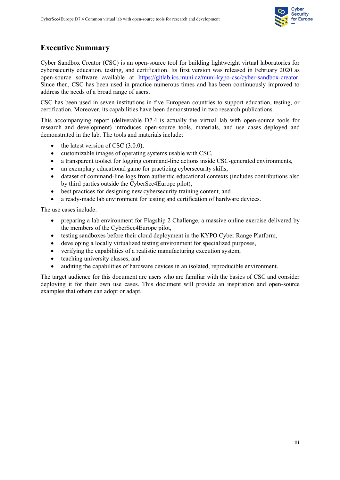

# **Executive Summary**

Cyber Sandbox Creator (CSC) is an open-source tool for building lightweight virtual laboratories for cybersecurity education, testing, and certification. Its first version was released in February 2020 as open-source software available at [https://gitlab.ics.muni.cz/muni-kypo-csc/cyber-sandbox-creator.](https://gitlab.ics.muni.cz/muni-kypo-csc/cyber-sandbox-creator) Since then, CSC has been used in practice numerous times and has been continuously improved to address the needs of a broad range of users.

CSC has been used in seven institutions in five European countries to support education, testing, or certification. Moreover, its capabilities have been demonstrated in two research publications.

This accompanying report (deliverable D7.4 is actually the virtual lab with open-source tools for research and development) introduces open-source tools, materials, and use cases deployed and demonstrated in the lab. The tools and materials include:

- $\bullet$  the latest version of CSC (3.0.0),
- $\bullet$  customizable images of operating systems usable with CSC,
- a transparent toolset for logging command-line actions inside CSC-generated environments,
- $\bullet$  an exemplary educational game for practicing cybersecurity skills,
- dataset of command-line logs from authentic educational contexts (includes contributions also by third parties outside the CyberSec4Europe pilot),
- $\bullet$  best practices for designing new cybersecurity training content, and
- a ready-made lab environment for testing and certification of hardware devices.

The use cases include:

- x preparing a lab environment for Flagship 2 Challenge, a massive online exercise delivered by the members of the CyberSec4Europe pilot,
- x testing sandboxes before their cloud deployment in the KYPO Cyber Range Platform,
- developing a locally virtualized testing environment for specialized purposes,
- verifying the capabilities of a realistic manufacturing execution system,
- teaching university classes, and
- auditing the capabilities of hardware devices in an isolated, reproducible environment.

The target audience for this document are users who are familiar with the basics of CSC and consider deploying it for their own use cases. This document will provide an inspiration and open-source examples that others can adopt or adapt.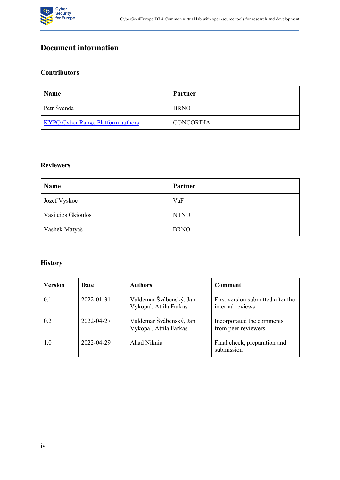

# **Document information**

#### **Contributors**

| Name                                     | Partner          |
|------------------------------------------|------------------|
| Petr Švenda                              | <b>BRNO</b>      |
| <b>KYPO Cyber Range Platform authors</b> | <b>CONCORDIA</b> |

#### **Reviewers**

| Name                      | <b>Partner</b> |
|---------------------------|----------------|
| Jozef Vyskoč              | VaF            |
| <b>Vasileios Gkioulos</b> | <b>NTNU</b>    |
| Vashek Matyáš             | <b>BRNO</b>    |

# **History**

| <b>Version</b> | Date       | <b>Authors</b>                                    | Comment                                               |
|----------------|------------|---------------------------------------------------|-------------------------------------------------------|
| 0.1            | 2022-01-31 | Valdemar Švábenský, Jan<br>Vykopal, Attila Farkas | First version submitted after the<br>internal reviews |
| 0.2            | 2022-04-27 | Valdemar Švábenský, Jan<br>Vykopal, Attila Farkas | Incorporated the comments<br>from peer reviewers      |
| 1.0            | 2022-04-29 | Ahad Niknia                                       | Final check, preparation and<br>submission            |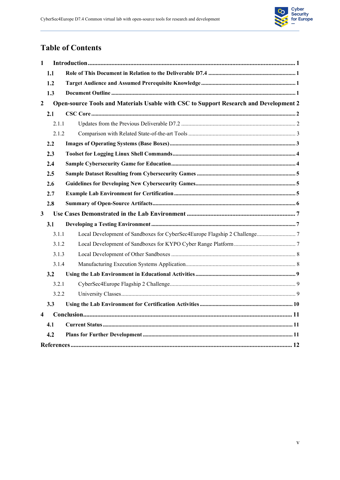

# **Table of Contents**

| $\mathbf{1}$     |         |                                                                                       |  |  |  |
|------------------|---------|---------------------------------------------------------------------------------------|--|--|--|
|                  | 1.1     |                                                                                       |  |  |  |
|                  | $1.2\,$ |                                                                                       |  |  |  |
|                  | 1.3     |                                                                                       |  |  |  |
| $\boldsymbol{2}$ |         | Open-source Tools and Materials Usable with CSC to Support Research and Development 2 |  |  |  |
|                  | 2.1     |                                                                                       |  |  |  |
|                  | 2.1.1   |                                                                                       |  |  |  |
|                  | 2.1.2   |                                                                                       |  |  |  |
|                  | 2.2     |                                                                                       |  |  |  |
|                  | 2.3     |                                                                                       |  |  |  |
|                  | 2.4     |                                                                                       |  |  |  |
|                  | 2.5     |                                                                                       |  |  |  |
|                  | 2.6     |                                                                                       |  |  |  |
|                  | 2.7     |                                                                                       |  |  |  |
|                  | 2.8     |                                                                                       |  |  |  |
| $\mathbf{3}$     |         |                                                                                       |  |  |  |
| 3.1              |         |                                                                                       |  |  |  |
|                  | 3.1.1   |                                                                                       |  |  |  |
|                  | 3.1.2   |                                                                                       |  |  |  |
|                  | 3.1.3   |                                                                                       |  |  |  |
|                  | 3.1.4   |                                                                                       |  |  |  |
| 3.2              |         |                                                                                       |  |  |  |
|                  | 3.2.1   |                                                                                       |  |  |  |
|                  | 3.2.2   |                                                                                       |  |  |  |
|                  | 3.3     |                                                                                       |  |  |  |
| 4                |         |                                                                                       |  |  |  |
|                  | 4.1     |                                                                                       |  |  |  |
|                  | 4.2     |                                                                                       |  |  |  |
|                  |         |                                                                                       |  |  |  |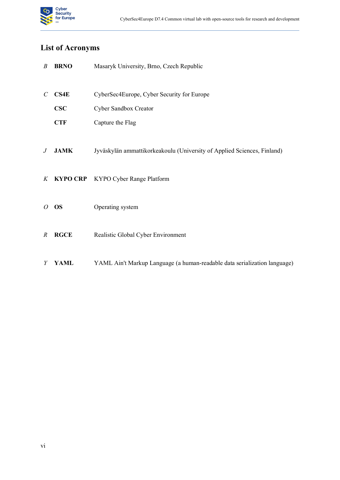

# **List of Acronyms**

| $\boldsymbol{B}$ | <b>BRNO</b> | Masaryk University, Brno, Czech Republic                                  |
|------------------|-------------|---------------------------------------------------------------------------|
| $\mathcal{C}$    | CS4E        | CyberSec4Europe, Cyber Security for Europe                                |
|                  | $\bf CSC$   | Cyber Sandbox Creator                                                     |
|                  | <b>CTF</b>  | Capture the Flag                                                          |
| $\,$ J           | <b>JAMK</b> | Jyväskylän ammattikorkeakoulu (University of Applied Sciences, Finland)   |
| $K_{\parallel}$  |             | <b>KYPO CRP</b> KYPO Cyber Range Platform                                 |
| $\overline{O}$   | <b>OS</b>   | Operating system                                                          |
| $\boldsymbol{R}$ | <b>RGCE</b> | Realistic Global Cyber Environment                                        |
| Y                | <b>YAML</b> | YAML Ain't Markup Language (a human-readable data serialization language) |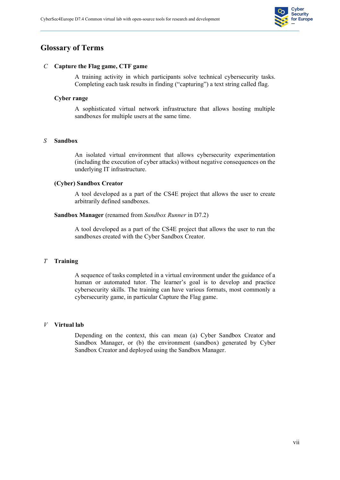

## **Glossary of Terms**

#### *C* **Capture the Flag game, CTF game**

A training activity in which participants solve technical cybersecurity tasks. Completing each task results in finding ("capturing") a text string called flag.

#### **Cyber range**

A sophisticated virtual network infrastructure that allows hosting multiple sandboxes for multiple users at the same time.

#### *S* **Sandbox**

An isolated virtual environment that allows cybersecurity experimentation (including the execution of cyber attacks) without negative consequences on the underlying IT infrastructure.

#### **(Cyber) Sandbox Creator**

A tool developed as a part of the CS4E project that allows the user to create arbitrarily defined sandboxes.

#### **Sandbox Manager** (renamed from *Sandbox Runner* in D7.2)

A tool developed as a part of the CS4E project that allows the user to run the sandboxes created with the Cyber Sandbox Creator.

#### *T* **Training**

A sequence of tasks completed in a virtual environment under the guidance of a human or automated tutor. The learner's goal is to develop and practice cybersecurity skills. The training can have various formats, most commonly a cybersecurity game, in particular Capture the Flag game.

#### *V* **Virtual lab**

Depending on the context, this can mean (a) Cyber Sandbox Creator and Sandbox Manager, or (b) the environment (sandbox) generated by Cyber Sandbox Creator and deployed using the Sandbox Manager.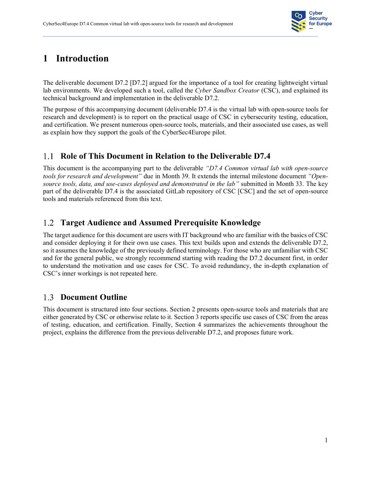

# **1 Introduction**

<span id="page-7-0"></span>The deliverable document D7.2 [D7.2] argued for the importance of a tool for creating lightweight virtual lab environments. We developed such a tool, called the *Cyber Sandbox Creator* (CSC), and explained its technical background and implementation in the deliverable D7.2.

The purpose of this accompanying document (deliverable D7.4 is the virtual lab with open-source tools for research and development) is to report on the practical usage of CSC in cybersecurity testing, education, and certification. We present numerous open-source tools, materials, and their associated use cases, as well as explain how they support the goals of the CyberSec4Europe pilot.

# **Role of This Document in Relation to the Deliverable D7.4**

<span id="page-7-1"></span>This document is the accompanying part to the deliverable *"D7.4 Common virtual lab with open-source tools for research and development*" due in Month 39. It extends the internal milestone document *"Opensource tools, data, and use-cases deployed and demonstrated in the lab´* submitted in Month 33. The key part of the deliverable D7.4 is the associated GitLab repository of CSC [CSC] and the set of open-source tools and materials referenced from this text.

# **Target Audience and Assumed Prerequisite Knowledge**

<span id="page-7-2"></span>The target audience for this document are users with IT background who are familiar with the basics of CSC and consider deploying it for their own use cases. This text builds upon and extends the deliverable D7.2, so it assumes the knowledge of the previously defined terminology. For those who are unfamiliar with CSC and for the general public, we strongly recommend starting with reading the D7.2 document first, in order to understand the motivation and use cases for CSC. To avoid redundancy, the in-depth explanation of CSC's inner workings is not repeated here.

# 1.3 Document Outline

<span id="page-7-3"></span>This document is structured into four sections. Section 2 presents open-source tools and materials that are either generated by CSC or otherwise relate to it. Section 3 reports specific use cases of CSC from the areas of testing, education, and certification. Finally, Section 4 summarizes the achievements throughout the project, explains the difference from the previous deliverable D7.2, and proposes future work.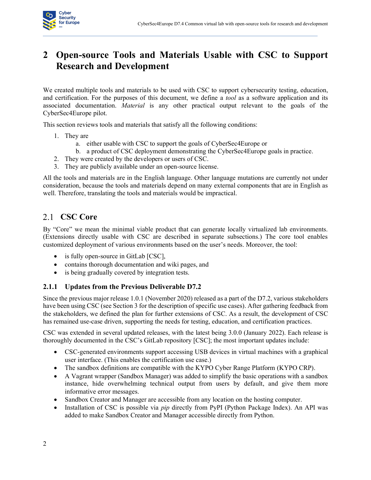

# **2 Open-source Tools and Materials Usable with CSC to Support Research and Development**

<span id="page-8-0"></span>We created multiple tools and materials to be used with CSC to support cybersecurity testing, education, and certification. For the purposes of this document, we define a *tool* as a software application and its associated documentation. *Material* is any other practical output relevant to the goals of the CyberSec4Europe pilot.

This section reviews tools and materials that satisfy all the following conditions:

- 1. They are
	- a. either usable with CSC to support the goals of CyberSec4Europe or
	- b. a product of CSC deployment demonstrating the CyberSec4Europe goals in practice.
- 2. They were created by the developers or users of CSC.
- 3. They are publicly available under an open-source license.

All the tools and materials are in the English language. Other language mutations are currently not under consideration, because the tools and materials depend on many external components that are in English as well. Therefore, translating the tools and materials would be impractical.

# 2.1 **CSC Core**

By "Core" we mean the minimal viable product that can generate locally virtualized lab environments. (Extensions directly usable with CSC are described in separate subsections.) The core tool enables customized deployment of various environments based on the user's needs. Moreover, the tool:

- <span id="page-8-1"></span> $\bullet$  is fully open-source in GitLab [CSC],
- contains thorough documentation and wiki pages, and
- is being gradually covered by integration tests.

#### **2.1.1 Updates from the Previous Deliverable D7.2**

<span id="page-8-2"></span>Since the previous major release 1.0.1 (November 2020) released as a part of the D7.2, various stakeholders have been using CSC (see Section 3 for the description of specific use cases). After gathering feedback from the stakeholders, we defined the plan for further extensions of CSC. As a result, the development of CSC has remained use-case driven, supporting the needs for testing, education, and certification practices.

CSC was extended in several updated releases, with the latest being 3.0.0 (January 2022). Each release is thoroughly documented in the CSC's GitLab repository [CSC]; the most important updates include:

- CSC-generated environments support accessing USB devices in virtual machines with a graphical user interface. (This enables the certification use case.)
- x The sandbox definitions are compatible with the KYPO Cyber Range Platform (KYPO CRP).
- A Vagrant wrapper (Sandbox Manager) was added to simplify the basic operations with a sandbox instance, hide overwhelming technical output from users by default, and give them more informative error messages.
- Sandbox Creator and Manager are accessible from any location on the hosting computer.
- x Installation of CSC is possible via *pip* directly from PyPI (Python Package Index). An API was added to make Sandbox Creator and Manager accessible directly from Python.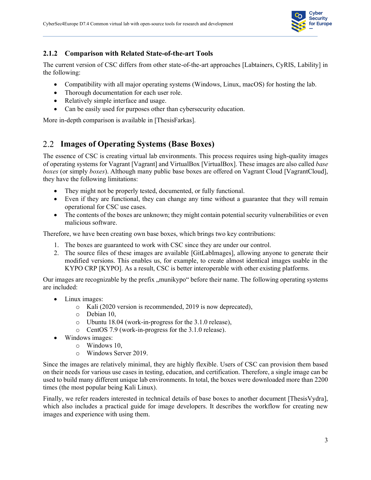

#### **2.1.2 Comparison with Related State-of-the-art Tools**

The current version of CSC differs from other state-of-the-art approaches [Labtainers, CyRIS, Lability] in the following:

- <span id="page-9-0"></span>• Compatibility with all major operating systems (Windows, Linux, macOS) for hosting the lab.
- Thorough documentation for each user role.
- Relatively simple interface and usage.
- Can be easily used for purposes other than cybersecurity education.

More in-depth comparison is available in [ThesisFarkas].

# **Images of Operating Systems (Base Boxes)**

<span id="page-9-1"></span>The essence of CSC is creating virtual lab environments. This process requires using high-quality images of operating systems for Vagrant [Vagrant] and VirtualBox [VirtualBox]. These images are also called *base boxes* (or simply *boxes*). Although many public base boxes are offered on Vagrant Cloud [VagrantCloud], they have the following limitations:

- They might not be properly tested, documented, or fully functional.
- Even if they are functional, they can change any time without a guarantee that they will remain operational for CSC use cases.
- The contents of the boxes are unknown; they might contain potential security vulnerabilities or even malicious software.

Therefore, we have been creating own base boxes, which brings two key contributions:

- 1. The boxes are guaranteed to work with CSC since they are under our control.
- 2. The source files of these images are available [GitLabImages], allowing anyone to generate their modified versions. This enables us, for example, to create almost identical images usable in the KYPO CRP [KYPO]. As a result, CSC is better interoperable with other existing platforms.

Our images are recognizable by the prefix "munikypo" before their name. The following operating systems are included:

- Linux images:
	- o Kali (2020 version is recommended, 2019 is now deprecated),
	- o Debian 10,
	- o Ubuntu 18.04 (work-in-progress for the 3.1.0 release),
	- o CentOS 7.9 (work-in-progress for the 3.1.0 release).
- Windows images:
	- o Windows 10,
	- o Windows Server 2019.

Since the images are relatively minimal, they are highly flexible. Users of CSC can provision them based on their needs for various use cases in testing, education, and certification. Therefore, a single image can be used to build many different unique lab environments. In total, the boxes were downloaded more than 2200 times (the most popular being Kali Linux).

Finally, we refer readers interested in technical details of base boxes to another document [ThesisVydra], which also includes a practical guide for image developers. It describes the workflow for creating new images and experience with using them.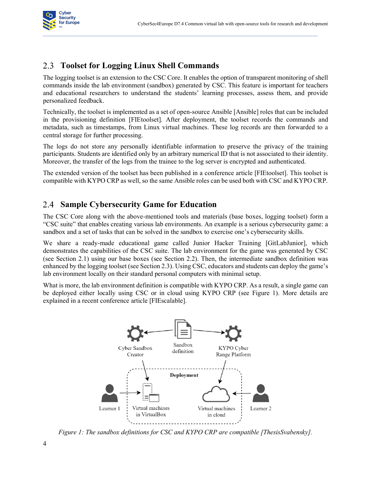

# **Toolset for Logging Linux Shell Commands**

<span id="page-10-0"></span>The logging toolset is an extension to the CSC Core. It enables the option of transparent monitoring of shell commands inside the lab environment (sandbox) generated by CSC. This feature is important for teachers and educational researchers to understand the students' learning processes, assess them, and provide personalized feedback.

Technically, the toolset is implemented as a set of open-source Ansible [Ansible] roles that can be included in the provisioning definition [FIEtoolset]. After deployment, the toolset records the commands and metadata, such as timestamps, from Linux virtual machines. These log records are then forwarded to a central storage for further processing.

The logs do not store any personally identifiable information to preserve the privacy of the training participants. Students are identified only by an arbitrary numerical ID that is not associated to their identity. Moreover, the transfer of the logs from the trainee to the log server is encrypted and authenticated.

The extended version of the toolset has been published in a conference article [FIEtoolset]. This toolset is compatible with KYPO CRP as well, so the same Ansible roles can be used both with CSC and KYPO CRP.

## **Sample Cybersecurity Game for Education**

The CSC Core along with the above-mentioned tools and materials (base boxes, logging toolset) form a "CSC suite" that enables creating various lab environments. An example is a serious cybersecurity game: a sandbox and a set of tasks that can be solved in the sandbox to exercise one's cybersecurity skills.

<span id="page-10-1"></span>We share a ready-made educational game called Junior Hacker Training [GitLabJunior], which demonstrates the capabilities of the CSC suite. The lab environment for the game was generated by CSC (see Section 2.1) using our base boxes (see Section 2.2). Then, the intermediate sandbox definition was enhanced by the logging toolset (see Section 2.3). Using CSC, educators and students can deploy the game's lab environment locally on their standard personal computers with minimal setup.

What is more, the lab environment definition is compatible with KYPO CRP. As a result, a single game can be deployed either locally using CSC or in cloud using KYPO CRP (see Figure 1). More details are explained in a recent conference article [FIEscalable].



*Figure 1: The sandbox definitions for CSC and KYPO CRP are compatible [ThesisSvabensky].*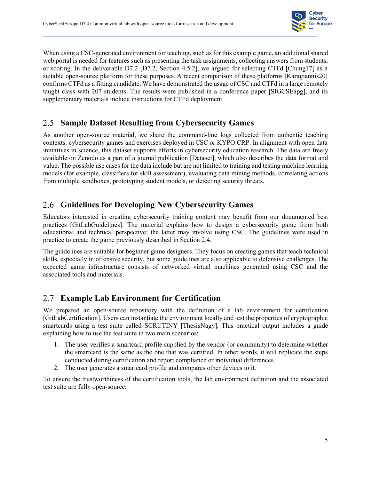

When using a CSC-generated environment for teaching, such as for this example game, an additional shared web portal is needed for features such as presenting the task assignments, collecting answers from students, or scoring. In the deliverable D7.2 [D7.2, Section 4.5.2], we argued for selecting CTFd [Chung17] as a suitable open-source platform for these purposes. A recent comparison of these platforms [Karagiannis20] confirms CTFd as a fitting candidate. We have demonstrated the usage of CSC and CTFd in a large remotely taught class with 207 students. The results were published in a conference paper [SIGCSEapg], and its supplementary materials include instructions for CTFd deployment.

# **Sample Dataset Resulting from Cybersecurity Games**

<span id="page-11-0"></span>As another open-source material, we share the command-line logs collected from authentic teaching contexts: cybersecurity games and exercises deployed in CSC or KYPO CRP. In alignment with open data initiatives in science, this dataset supports efforts in cybersecurity education research. The data are freely available on Zenodo as a part of a journal publication [Dataset], which also describes the data format and value. The possible use cases for the data include but are not limited to training and testing machine learning models (for example, classifiers for skill assessment), evaluating data mining methods, correlating actions from multiple sandboxes, prototyping student models, or detecting security threats.

# **Guidelines for Developing New Cybersecurity Games**

<span id="page-11-1"></span>Educators interested in creating cybersecurity training content may benefit from our documented best practices [GitLabGuidelines]. The material explains how to design a cybersecurity game from both educational and technical perspective; the latter may involve using CSC. The guidelines were used in practice to create the game previously described in Section 2.4.

The guidelines are suitable for beginner game designers. They focus on creating games that teach technical skills, especially in offensive security, but some guidelines are also applicable to defensive challenges. The expected game infrastructure consists of networked virtual machines generated using CSC and the associated tools and materials.

# **Example Lab Environment for Certification**

<span id="page-11-2"></span>We prepared an open-source repository with the definition of a lab environment for certification [GitLabCertification]. Users can instantiate the environment locally and test the properties of cryptographic smartcards using a test suite called SCRUTINY [ThesisNagy]. This practical output includes a guide explaining how to use the test suite in two main scenarios:

- 1. The user verifies a smartcard profile supplied by the vendor (or community) to determine whether the smartcard is the same as the one that was certified. In other words, it will replicate the steps conducted during certification and report compliance or individual differences.
- 2. The user generates a smartcard profile and compares other devices to it.

To ensure the trustworthiness of the certification tools, the lab environment definition and the associated test suite are fully open-source.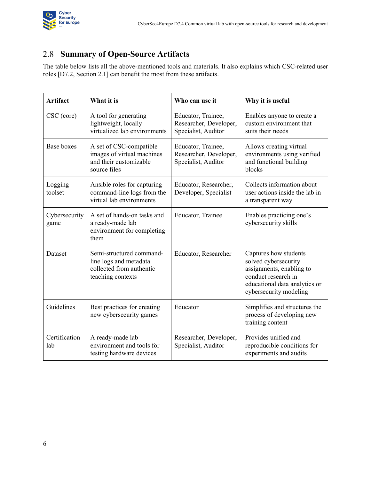

# **Summary of Open-Source Artifacts**

The table below lists all the above-mentioned tools and materials. It also explains which CSC-related user roles [D7.2, Section 2.1] can benefit the most from these artifacts.

<span id="page-12-0"></span>

| <b>Artifact</b>       | What it is                                                                                          | Who can use it                                                      | Why it is useful                                                                                                                                            |
|-----------------------|-----------------------------------------------------------------------------------------------------|---------------------------------------------------------------------|-------------------------------------------------------------------------------------------------------------------------------------------------------------|
| CSC (core)            | A tool for generating<br>lightweight, locally<br>virtualized lab environments                       | Educator, Trainee,<br>Researcher, Developer,<br>Specialist, Auditor | Enables anyone to create a<br>custom environment that<br>suits their needs                                                                                  |
| <b>Base boxes</b>     | A set of CSC-compatible<br>images of virtual machines<br>and their customizable<br>source files     | Educator, Trainee,<br>Researcher, Developer,<br>Specialist, Auditor | Allows creating virtual<br>environments using verified<br>and functional building<br>blocks                                                                 |
| Logging<br>toolset    | Ansible roles for capturing<br>command-line logs from the<br>virtual lab environments               | Educator, Researcher,<br>Developer, Specialist                      | Collects information about<br>user actions inside the lab in<br>a transparent way                                                                           |
| Cybersecurity<br>game | A set of hands-on tasks and<br>a ready-made lab<br>environment for completing<br>them               | Educator, Trainee                                                   | Enables practicing one's<br>cybersecurity skills                                                                                                            |
| Dataset               | Semi-structured command-<br>line logs and metadata<br>collected from authentic<br>teaching contexts | Educator, Researcher                                                | Captures how students<br>solved cybersecurity<br>assignments, enabling to<br>conduct research in<br>educational data analytics or<br>cybersecurity modeling |
| Guidelines            | Best practices for creating<br>new cybersecurity games                                              | Educator                                                            | Simplifies and structures the<br>process of developing new<br>training content                                                                              |
| Certification<br>lab  | A ready-made lab<br>environment and tools for<br>testing hardware devices                           | Researcher, Developer,<br>Specialist, Auditor                       | Provides unified and<br>reproducible conditions for<br>experiments and audits                                                                               |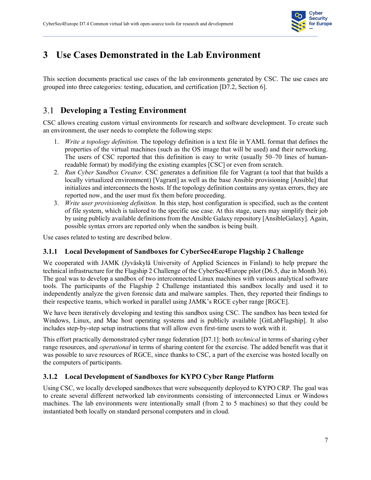

# **3 Use Cases Demonstrated in the Lab Environment**

<span id="page-13-0"></span>This section documents practical use cases of the lab environments generated by CSC. The use cases are grouped into three categories: testing, education, and certification [D7.2, Section 6].

# **Developing a Testing Environment**

CSC allows creating custom virtual environments for research and software development. To create such an environment, the user needs to complete the following steps:

- <span id="page-13-1"></span>1. *Write a topology definition.* The topology definition is a text file in YAML format that defines the properties of the virtual machines (such as the OS image that will be used) and their networking. The users of CSC reported that this definition is easy to write (usually  $50-70$  lines of humanreadable format) by modifying the existing examples [CSC] or even from scratch.
- 2. *Run Cyber Sandbox Creator.* CSC generates a definition file for Vagrant (a tool that that builds a locally virtualized environment) [Vagrant] as well as the base Ansible provisioning [Ansible] that initializes and interconnects the hosts. If the topology definition contains any syntax errors, they are reported now, and the user must fix them before proceeding.
- 3. *Write user provisioning definition.* In this step, host configuration is specified, such as the content of file system, which is tailored to the specific use case. At this stage, users may simplify their job by using publicly available definitions from the Ansible Galaxy repository [AnsibleGalaxy]. Again, possible syntax errors are reported only when the sandbox is being built.

Use cases related to testing are described below.

#### **3.1.1 Local Development of Sandboxes for CyberSec4Europe Flagship 2 Challenge**

<span id="page-13-2"></span>We cooperated with JAMK (Jyväskylä University of Applied Sciences in Finland) to help prepare the technical infrastructure for the Flagship 2 Challenge of the CyberSec4Europe pilot (D6.5, due in Month 36). The goal was to develop a sandbox of two interconnected Linux machines with various analytical software tools. The participants of the Flagship 2 Challenge instantiated this sandbox locally and used it to independently analyze the given forensic data and malware samples. Then, they reported their findings to their respective teams, which worked in parallel using JAMK's RGCE cyber range [RGCE].

We have been iteratively developing and testing this sandbox using CSC. The sandbox has been tested for Windows, Linux, and Mac host operating systems and is publicly available [GitLabFlagship]. It also includes step-by-step setup instructions that will allow even first-time users to work with it.

This effort practically demonstrated cyber range federation [D7.1]: both *technical* in terms of sharing cyber range resources, and *operational* in terms of sharing content for the exercise. The added benefit was that it was possible to save resources of RGCE, since thanks to CSC, a part of the exercise was hosted locally on the computers of participants.

#### **3.1.2 Local Development of Sandboxes for KYPO Cyber Range Platform**

<span id="page-13-3"></span>Using CSC, we locally developed sandboxes that were subsequently deployed to KYPO CRP. The goal was to create several different networked lab environments consisting of interconnected Linux or Windows machines. The lab environments were intentionally small (from 2 to 5 machines) so that they could be instantiated both locally on standard personal computers and in cloud.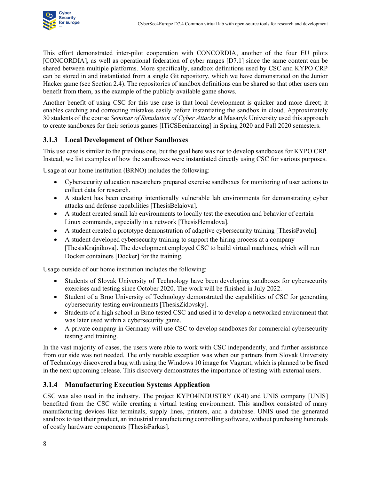

This effort demonstrated inter-pilot cooperation with CONCORDIA, another of the four EU pilots [CONCORDIA], as well as operational federation of cyber ranges [D7.1] since the same content can be shared between multiple platforms. More specifically, sandbox definitions used by CSC and KYPO CRP can be stored in and instantiated from a single Git repository, which we have demonstrated on the Junior Hacker game (see Section 2.4). The repositories of sandbox definitions can be shared so that other users can benefit from them, as the example of the publicly available game shows.

Another benefit of using CSC for this use case is that local development is quicker and more direct; it enables catching and correcting mistakes easily before instantiating the sandbox in cloud. Approximately 30 students of the course *Seminar of Simulation of Cyber Attacks* at Masaryk University used this approach to create sandboxes for their serious games [ITiCSEenhancing] in Spring 2020 and Fall 2020 semesters.

#### **3.1.3 Local Development of Other Sandboxes**

This use case is similar to the previous one, but the goal here was not to develop sandboxes for KYPO CRP. Instead, we list examples of how the sandboxes were instantiated directly using CSC for various purposes.

<span id="page-14-0"></span>Usage at our home institution (BRNO) includes the following:

- Cybersecurity education researchers prepared exercise sandboxes for monitoring of user actions to collect data for research.
- A student has been creating intentionally vulnerable lab environments for demonstrating cyber attacks and defense capabilities [ThesisBelajova].
- A student created small lab environments to locally test the execution and behavior of certain Linux commands, especially in a network [ThesisHemalova].
- x A student created a prototype demonstration of adaptive cybersecurity training [ThesisPavelu].
- A student developed cybersecurity training to support the hiring process at a company [ThesisKrajnikova]. The development employed CSC to build virtual machines, which will run Docker containers [Docker] for the training.

Usage outside of our home institution includes the following:

- Students of Slovak University of Technology have been developing sandboxes for cybersecurity exercises and testing since October 2020. The work will be finished in July 2022.
- Student of a Brno University of Technology demonstrated the capabilities of CSC for generating cybersecurity testing environments [ThesisZidovsky].
- Students of a high school in Brno tested CSC and used it to develop a networked environment that was later used within a cybersecurity game.
- A private company in Germany will use CSC to develop sandboxes for commercial cybersecurity testing and training.

In the vast majority of cases, the users were able to work with CSC independently, and further assistance from our side was not needed. The only notable exception was when our partners from Slovak University of Technology discovered a bug with using the Windows 10 image for Vagrant, which is planned to be fixed in the next upcoming release. This discovery demonstrates the importance of testing with external users.

#### **3.1.4 Manufacturing Execution Systems Application**

<span id="page-14-1"></span>CSC was also used in the industry. The project KYPO4INDUSTRY (K4I) and UNIS company [UNIS] benefited from the CSC while creating a virtual testing environment. This sandbox consisted of many manufacturing devices like terminals, supply lines, printers, and a database. UNIS used the generated sandbox to test their product, an industrial manufacturing controlling software, without purchasing hundreds of costly hardware components [ThesisFarkas].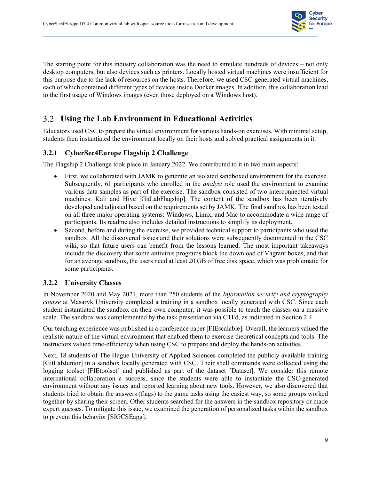

The starting point for this industry collaboration was the need to simulate hundreds of devices  $-\text{not only}$ desktop computers, but also devices such as printers. Locally hosted virtual machines were insufficient for this purpose due to the lack of resources on the hosts. Therefore, we used CSC-generated virtual machines, each of which contained different types of devices inside Docker images. In addition, this collaboration lead to the first usage of Windows images (even those deployed on a Windows host).

## **Using the Lab Environment in Educational Activities**

Educators used CSC to prepare the virtual environment for various hands-on exercises. With minimal setup, students then instantiated the environment locally on their hosts and solved practical assignments in it.

#### <span id="page-15-0"></span>**3.2.1 CyberSec4Europe Flagship 2 Challenge**

The Flagship 2 Challenge took place in January 2022. We contributed to it in two main aspects:

- <span id="page-15-1"></span>First, we collaborated with JAMK to generate an isolated sandboxed environment for the exercise. Subsequently, 61 participants who enrolled in the *analyst* role used the environment to examine various data samples as part of the exercise. The sandbox consisted of two interconnected virtual machines: Kali and Hive [GitLabFlagship]. The content of the sandbox has been iteratively developed and adjusted based on the requirements set by JAMK. The final sandbox has been tested on all three major operating systems: Windows, Linux, and Mac to accommodate a wide range of participants. Its readme also includes detailed instructions to simplify its deployment.
- Second, before and during the exercise, we provided technical support to participants who used the sandbox. All the discovered issues and their solutions were subsequently documented in the CSC wiki, so that future users can benefit from the lessons learned. The most important takeaways include the discovery that some antivirus programs block the download of Vagrant boxes, and that for an average sandbox, the users need at least 20 GB of free disk space, which was problematic for some participants.

#### **3.2.2 University Classes**

<span id="page-15-2"></span>In November 2020 and May 2021, more than 250 students of the *Information security and cryptography course* at Masaryk University completed a training in a sandbox locally generated with CSC. Since each student instantiated the sandbox on their own computer, it was possible to teach the classes on a massive scale. The sandbox was complemented by the task presentation via CTFd, as indicated in Section 2.4.

Our teaching experience was published in a conference paper [FIEscalable]. Overall, the learners valued the realistic nature of the virtual environment that enabled them to exercise theoretical concepts and tools. The instructors valued time-efficiency when using CSC to prepare and deploy the hands-on activities.

Next, 18 students of The Hague University of Applied Sciences completed the publicly available training [GitLabJunior] in a sandbox locally generated with CSC. Their shell commands were collected using the logging toolset [FIEtoolset] and published as part of the dataset [Dataset]. We consider this remote international collaboration a success, since the students were able to instantiate the CSC-generated environment without any issues and reported learning about new tools. However, we also discovered that students tried to obtain the answers (flags) to the game tasks using the easiest way, so some groups worked together by sharing their screen. Other students searched for the answers in the sandbox repository or made expert guesses. To mitigate this issue, we examined the generation of personalized tasks within the sandbox to prevent this behavior [SIGCSEapg].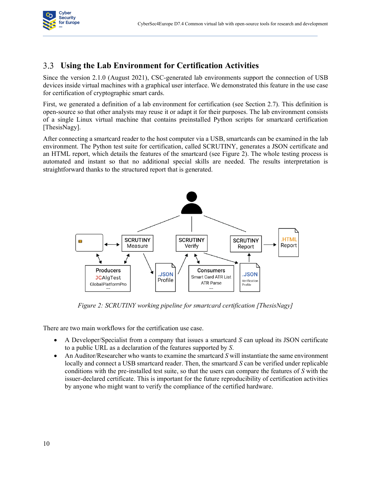

# **Using the Lab Environment for Certification Activities**

Since the version 2.1.0 (August 2021), CSC-generated lab environments support the connection of USB devices inside virtual machines with a graphical user interface. We demonstrated this feature in the use case for certification of cryptographic smart cards.

<span id="page-16-0"></span>First, we generated a definition of a lab environment for certification (see Section 2.7). This definition is open-source so that other analysts may reuse it or adapt it for their purposes. The lab environment consists of a single Linux virtual machine that contains preinstalled Python scripts for smartcard certification [ThesisNagy].

After connecting a smartcard reader to the host computer via a USB, smartcards can be examined in the lab environment. The Python test suite for certification, called SCRUTINY, generates a JSON certificate and an HTML report, which details the features of the smartcard (see Figure 2). The whole testing process is automated and instant so that no additional special skills are needed. The results interpretation is straightforward thanks to the structured report that is generated.



*Figure 2: SCRUTINY working pipeline for smartcard certification [ThesisNagy]*

There are two main workflows for the certification use case.

- x A Developer/Specialist from a company that issues a smartcard *S* can upload its JSON certificate to a public URL as a declaration of the features supported by *S*.
- x An Auditor/Researcher who wants to examine the smartcard *S* will instantiate the same environment locally and connect a USB smartcard reader. Then, the smartcard *S* can be verified under replicable conditions with the pre-installed test suite, so that the users can compare the features of *S* with the issuer-declared certificate. This is important for the future reproducibility of certification activities by anyone who might want to verify the compliance of the certified hardware.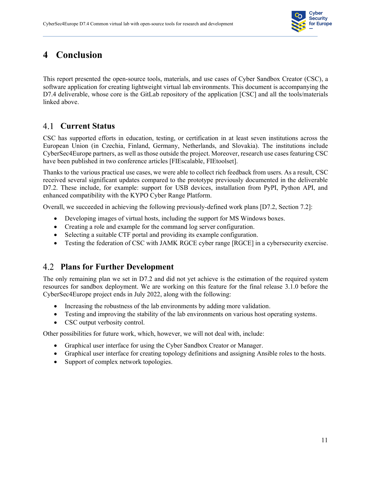

# **4 Conclusion**

<span id="page-17-0"></span>This report presented the open-source tools, materials, and use cases of Cyber Sandbox Creator (CSC), a software application for creating lightweight virtual lab environments. This document is accompanying the D7.4 deliverable, whose core is the GitLab repository of the application [CSC] and all the tools/materials linked above.

# **Current Status**

<span id="page-17-1"></span>CSC has supported efforts in education, testing, or certification in at least seven institutions across the European Union (in Czechia, Finland, Germany, Netherlands, and Slovakia). The institutions include CyberSec4Europe partners, as well as those outside the project. Moreover, research use cases featuring CSC have been published in two conference articles [FIEscalable, FIEtoolset].

Thanks to the various practical use cases, we were able to collect rich feedback from users. As a result, CSC received several significant updates compared to the prototype previously documented in the deliverable D7.2. These include, for example: support for USB devices, installation from PyPI, Python API, and enhanced compatibility with the KYPO Cyber Range Platform.

Overall, we succeeded in achieving the following previously-defined work plans [D7.2, Section 7.2]:

- Developing images of virtual hosts, including the support for MS Windows boxes.
- Creating a role and example for the command log server configuration.
- Selecting a suitable CTF portal and providing its example configuration.
- Testing the federation of CSC with JAMK RGCE cyber range [RGCE] in a cybersecurity exercise.

# **Plans for Further Development**

The only remaining plan we set in D7.2 and did not yet achieve is the estimation of the required system resources for sandbox deployment. We are working on this feature for the final release 3.1.0 before the CyberSec4Europe project ends in July 2022, along with the following:

- <span id="page-17-2"></span>• Increasing the robustness of the lab environments by adding more validation.
- Testing and improving the stability of the lab environments on various host operating systems.
- CSC output verbosity control.

Other possibilities for future work, which, however, we will not deal with, include:

- Graphical user interface for using the Cyber Sandbox Creator or Manager.
- Graphical user interface for creating topology definitions and assigning Ansible roles to the hosts.
- Support of complex network topologies.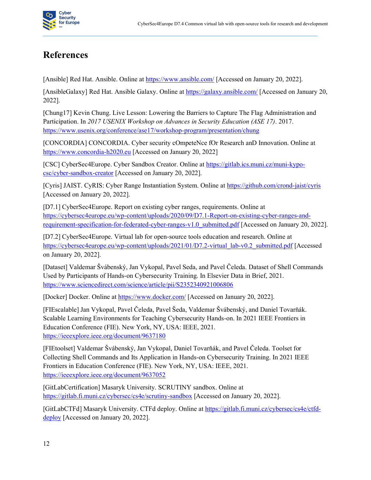

# **References**

<span id="page-18-0"></span>[Ansible] Red Hat. Ansible. Online at<https://www.ansible.com/> [Accessed on January 20, 2022].

[AnsibleGalaxy] Red Hat. Ansible Galaxy. Online a[t https://galaxy.ansible.com/](https://galaxy.ansible.com/) [Accessed on January 20, 2022].

[Chung17] Kevin Chung. Live Lesson: Lowering the Barriers to Capture The Flag Administration and Participation. In *2017 USENIX Workshop on Advances in Security Education (ASE 17)*. 2017. <https://www.usenix.org/conference/ase17/workshop-program/presentation/chung>

[CONCORDIA] CONCORDIA. Cyber security cOmpeteNce fOr Research anD Innovation. Online at [https://www.concordia-h2020.eu](https://www.concordia-h2020.eu/) [Accessed on January 20, 2022]

[CSC] CyberSec4Europe. Cyber Sandbox Creator. Online at [https://gitlab.ics.muni.cz/muni-kypo](https://gitlab.ics.muni.cz/muni-kypo-csc/cyber-sandbox-creator)[csc/cyber-sandbox-creator](https://gitlab.ics.muni.cz/muni-kypo-csc/cyber-sandbox-creator) [Accessed on January 20, 2022].

[Cyris] JAIST. CyRIS: Cyber Range Instantiation System. Online at<https://github.com/crond-jaist/cyris> [Accessed on January 20, 2022].

[D7.1] CyberSec4Europe. Report on existing cyber ranges, requirements. Online at [https://cybersec4europe.eu/wp-content/uploads/2020/09/D7.1-Report-on-existing-cyber-ranges-and](https://cybersec4europe.eu/wp-content/uploads/2020/09/D7.1-Report-on-existing-cyber-ranges-and-requirement-specification-for-federated-cyber-ranges-v1.0_submitted.pdf)[requirement-specification-for-federated-cyber-ranges-v1.0\\_submitted.pdf](https://cybersec4europe.eu/wp-content/uploads/2020/09/D7.1-Report-on-existing-cyber-ranges-and-requirement-specification-for-federated-cyber-ranges-v1.0_submitted.pdf) [Accessed on January 20, 2022].

[D7.2] CyberSec4Europe. Virtual lab for open-source tools education and research. Online at [https://cybersec4europe.eu/wp-content/uploads/2021/01/D7.2-virtual\\_lab-v0.2\\_submitted.pdf](https://cybersec4europe.eu/wp-content/uploads/2021/01/D7.2-virtual_lab-v0.2_submitted.pdf) [Accessed] on January 20, 2022].

[Dataset] Valdemar Švábenský, Jan Vykopal, Pavel Seda, and Pavel Čeleda. Dataset of Shell Commands Used by Participants of Hands-on Cybersecurity Training. In Elsevier Data in Brief, 2021. <https://www.sciencedirect.com/science/article/pii/S2352340921006806>

[Docker] Docker. Online a[t https://www.docker.com/](https://www.docker.com/) [Accessed on January 20, 2022].

[FIEscalable] Jan Vykopal, Pavel Čeleda, Pavel Šeda, Valdemar Švábenský, and Daniel Tovarňák. Scalable Learning Environments for Teaching Cybersecurity Hands-on. In 2021 IEEE Frontiers in Education Conference (FIE). New York, NY, USA: IEEE, 2021. <https://ieeexplore.ieee.org/document/9637180>

[FIEtoolset] Valdemar Švábenský, Jan Vykopal, Daniel Tovarňák, and Pavel Čeleda. Toolset for Collecting Shell Commands and Its Application in Hands-on Cybersecurity Training. In 2021 IEEE Frontiers in Education Conference (FIE). New York, NY, USA: IEEE, 2021. <https://ieeexplore.ieee.org/document/9637052>

[GitLabCertification] Masaryk University. SCRUTINY sandbox. Online at <https://gitlab.fi.muni.cz/cybersec/cs4e/scrutiny-sandbox> [Accessed on January 20, 2022].

[GitLabCTFd] Masaryk University. CTFd deploy. Online at [https://gitlab.fi.muni.cz/cybersec/cs4e/ctfd](https://gitlab.fi.muni.cz/cybersec/cs4e/ctfd-deploy)[deploy](https://gitlab.fi.muni.cz/cybersec/cs4e/ctfd-deploy) [Accessed on January 20, 2022].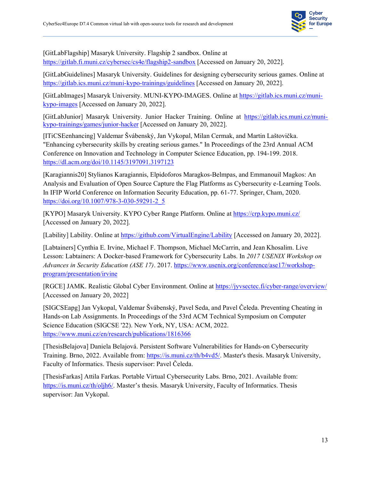

[GitLabFlagship] Masaryk University. Flagship 2 sandbox. Online at <https://gitlab.fi.muni.cz/cybersec/cs4e/flagship2-sandbox> [Accessed on January 20, 2022].

[GitLabGuidelines] Masaryk University. Guidelines for designing cybersecurity serious games. Online at <https://gitlab.ics.muni.cz/muni-kypo-trainings/guidelines> [Accessed on January 20, 2022].

[GitLabImages] Masaryk University. MUNI-KYPO-IMAGES. Online a[t https://gitlab.ics.muni.cz/muni](https://gitlab.ics.muni.cz/muni-kypo-images)[kypo-images](https://gitlab.ics.muni.cz/muni-kypo-images) [Accessed on January 20, 2022].

[GitLabJunior] Masaryk University. Junior Hacker Training. Online at [https://gitlab.ics.muni.cz/muni](https://gitlab.ics.muni.cz/muni-kypo-trainings/games/junior-hacker)[kypo-trainings/games/junior-hacker](https://gitlab.ics.muni.cz/muni-kypo-trainings/games/junior-hacker) [Accessed on January 20, 2022].

[ITiCSEenhancing] Valdemar Švábenský, Jan Vykopal, Milan Cermak, and Martin Laštovička. "Enhancing cybersecurity skills by creating serious games." In Proceedings of the 23rd Annual ACM Conference on Innovation and Technology in Computer Science Education, pp. 194-199. 2018. <https://dl.acm.org/doi/10.1145/3197091.3197123>

[Karagiannis20] Stylianos Karagiannis, Elpidoforos Maragkos-Belmpas, and Emmanouil Magkos: An Analysis and Evaluation of Open Source Capture the Flag Platforms as Cybersecurity e-Learning Tools. In IFIP World Conference on Information Security Education, pp. 61-77. Springer, Cham, 2020. [https://doi.org/10.1007/978-3-030-59291-2\\_5](https://doi.org/10.1007/978-3-030-59291-2_5)

[KYPO] Masaryk University. KYPO Cyber Range Platform. Online a[t https://crp.kypo.muni.cz/](https://crp.kypo.muni.cz/) [Accessed on January 20, 2022].

[Lability] Lability. Online at<https://github.com/VirtualEngine/Lability> [Accessed on January 20, 2022].

[Labtainers] Cynthia E. Irvine, Michael F. Thompson, Michael McCarrin, and Jean Khosalim. Live Lesson: Labtainers: A Docker-based Framework for Cybersecurity Labs. In *2017 USENIX Workshop on Advances in Security Education (ASE 17)*. 2017. [https://www.usenix.org/conference/ase17/workshop](https://www.usenix.org/conference/ase17/workshop-program/presentation/irvine)[program/presentation/irvine](https://www.usenix.org/conference/ase17/workshop-program/presentation/irvine)

[RGCE] JAMK. Realistic Global Cyber Environment. Online at<https://jyvsectec.fi/cyber-range/overview/> [Accessed on January 20, 2022]

[SIGCSEapg] Jan Vykopal, Valdemar Švábenský, Pavel Seda, and Pavel Čeleda. Preventing Cheating in Hands-on Lab Assignments. In Proceedings of the 53rd ACM Technical Symposium on Computer Science Education (SIGCSE '22). New York, NY, USA: ACM, 2022. <https://www.muni.cz/en/research/publications/1816366>

[ThesisBelajova] Daniela Belajová. Persistent Software Vulnerabilities for Hands-on Cybersecurity Training. Brno, 2022. Available from: [https://is.muni.cz/th/b4vd5/.](https://is.muni.cz/th/b4vd5/) Master's thesis. Masaryk University, Faculty of Informatics. Thesis supervisor: Pavel Čeleda.

[ThesisFarkas] Attila Farkas. Portable Virtual Cybersecurity Labs. Brno, 2021. Available from: <https://is.muni.cz/th/oljh6/>. Master's thesis. Masaryk University, Faculty of Informatics. Thesis supervisor: Jan Vykopal.